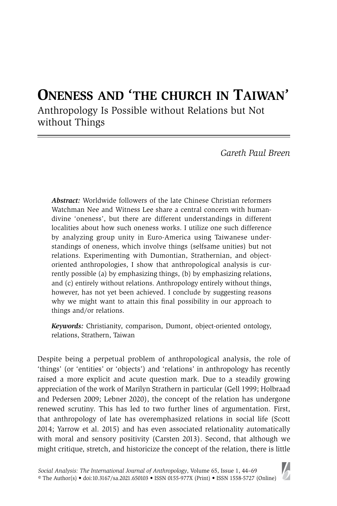# **Oneness and 'the church in Taiwan'**

Anthropology Is Possible without Relations but Not without Things

*Gareth Paul Breen* 

*Abstract:* Worldwide followers of the late Chinese Christian reformers Watchman Nee and Witness Lee share a central concern with humandivine 'oneness', but there are different understandings in different localities about how such oneness works. I utilize one such difference by analyzing group unity in Euro-America using Taiwanese understandings of oneness, which involve things (selfsame unities) but not relations. Experimenting with Dumontian, Strathernian, and objectoriented anthropologies, I show that anthropological analysis is currently possible (a) by emphasizing things, (b) by emphasizing relations, and (c) entirely without relations. Anthropology entirely without things, however, has not yet been achieved. I conclude by suggesting reasons why we might want to attain this final possibility in our approach to things and/or relations.

*Keywords:* Christianity, comparison, Dumont, object-oriented ontology, relations, Strathern, Taiwan

Despite being a perpetual problem of anthropological analysis, the role of 'things' (or 'entities' or 'objects') and 'relations' in anthropology has recently raised a more explicit and acute question mark. Due to a steadily growing appreciation of the work of Marilyn Strathern in particular (Gell 1999; Holbraad and Pedersen 2009; Lebner 2020), the concept of the relation has undergone renewed scrutiny. This has led to two further lines of argumentation. First, that anthropology of late has overemphasized relations in social life (Scott 2014; Yarrow et al. 2015) and has even associated relationality automatically with moral and sensory positivity (Carsten 2013). Second, that although we might critique, stretch, and historicize the concept of the relation, there is little

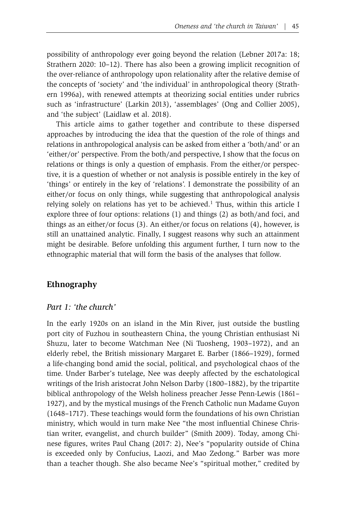possibility of anthropology ever going beyond the relation (Lebner 2017a: 18; Strathern 2020: 10–12). There has also been a growing implicit recognition of the over-reliance of anthropology upon relationality after the relative demise of the concepts of 'society' and 'the individual' in anthropological theory (Strathern 1996a), with renewed attempts at theorizing social entities under rubrics such as 'infrastructure' (Larkin 2013), 'assemblages' (Ong and Collier 2005), and 'the subject' (Laidlaw et al. 2018).

This article aims to gather together and contribute to these dispersed approaches by introducing the idea that the question of the role of things and relations in anthropological analysis can be asked from either a 'both/and' or an 'either/or' perspective. From the both/and perspective, I show that the focus on relations or things is only a question of emphasis. From the either/or perspective, it is a question of whether or not analysis is possible entirely in the key of 'things' or entirely in the key of 'relations'. I demonstrate the possibility of an either/or focus on only things, while suggesting that anthropological analysis relying solely on relations has yet to be achieved.<sup>1</sup> Thus, within this article I explore three of four options: relations (1) and things (2) as both/and foci, and things as an either/or focus (3). An either/or focus on relations (4), however, is still an unattained analytic. Finally, I suggest reasons why such an attainment might be desirable. Before unfolding this argument further, I turn now to the ethnographic material that will form the basis of the analyses that follow.

## **Ethnography**

#### *Part 1: 'the church'*

In the early 1920s on an island in the Min River, just outside the bustling port city of Fuzhou in southeastern China, the young Christian enthusiast Ni Shuzu, later to become Watchman Nee (Ni Tuosheng, 1903–1972), and an elderly rebel, the British missionary Margaret E. Barber (1866–1929), formed a life-changing bond amid the social, political, and psychological chaos of the time. Under Barber's tutelage, Nee was deeply affected by the eschatological writings of the Irish aristocrat John Nelson Darby (1800–1882), by the tripartite biblical anthropology of the Welsh holiness preacher Jesse Penn-Lewis (1861– 1927), and by the mystical musings of the French Catholic nun Madame Guyon (1648–1717). These teachings would form the foundations of his own Christian ministry, which would in turn make Nee "the most influential Chinese Christian writer, evangelist, and church builder" (Smith 2009). Today, among Chinese figures, writes Paul Chang (2017: 2), Nee's "popularity outside of China is exceeded only by Confucius, Laozi, and Mao Zedong." Barber was more than a teacher though. She also became Nee's "spiritual mother," credited by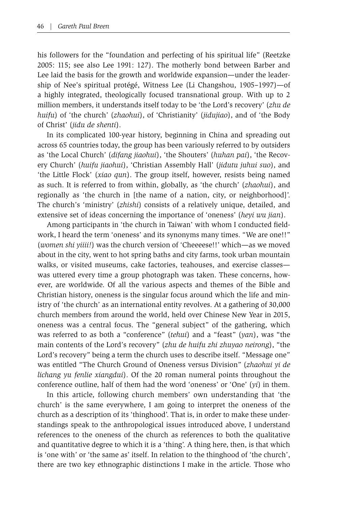his followers for the "foundation and perfecting of his spiritual life" (Reetzke 2005: 115; see also Lee 1991: 127). The motherly bond between Barber and Lee laid the basis for the growth and worldwide expansion—under the leadership of Nee's spiritual protégé, Witness Lee (Li Changshou, 1905–1997)—of a highly integrated, theologically focused transnational group. With up to 2 million members, it understands itself today to be 'the Lord's recovery' (*zhu de huifu*) of 'the church' (*zhaohui*), of 'Christianity' (*jidujiao*), and of 'the Body of Christ' (*jidu de shenti*).

In its complicated 100-year history, beginning in China and spreading out across 65 countries today, the group has been variously referred to by outsiders as 'the Local Church' (*difang jiaohui*), 'the Shouters' (*huhan pai*), 'the Recovery Church' (*huifu jiaohui*), 'Christian Assembly Hall' (*jidutu juhui suo*), and 'the Little Flock' (*xiao qun*). The group itself, however, resists being named as such. It is referred to from within, globally, as 'the church' (*zhaohui*), and regionally as 'the church in [the name of a nation, city, or neighborhood]'. The church's 'ministry' (*zhishi*) consists of a relatively unique, detailed, and extensive set of ideas concerning the importance of 'oneness' (*heyi wu jian*).

Among participants in 'the church in Taiwan' with whom I conducted fieldwork, I heard the term 'oneness' and its synonyms many times. "We are one!!" (*women shi yiiii!*) was the church version of 'Cheeeese!!' which—as we moved about in the city, went to hot spring baths and city farms, took urban mountain walks, or visited museums, cake factories, teahouses, and exercise classes was uttered every time a group photograph was taken. These concerns, however, are worldwide. Of all the various aspects and themes of the Bible and Christian history, oneness is the singular focus around which the life and ministry of 'the church' as an international entity revolves. At a gathering of 30,000 church members from around the world, held over Chinese New Year in 2015, oneness was a central focus. The "general subject" of the gathering, which was referred to as both a "conference" (*tehui*) and a "feast" (*yan*), was "the main contents of the Lord's recovery" (*zhu de huifu zhi zhuyao neirong*), "the Lord's recovery" being a term the church uses to describe itself. "Message one" was entitled "The Church Ground of Oneness versus Division" (*zhaohui yi de lichang yu fenlie xiangdui*). Of the 20 roman numeral points throughout the conference outline, half of them had the word 'oneness' or 'One' (*yi*) in them.

In this article, following church members' own understanding that 'the church' is the same everywhere, I am going to interpret the oneness of the church as a description of its 'thinghood'. That is, in order to make these understandings speak to the anthropological issues introduced above, I understand references to the oneness of the church as references to both the qualitative and quantitative degree to which it is a 'thing'. A thing here, then, is that which is 'one with' or 'the same as' itself. In relation to the thinghood of 'the church', there are two key ethnographic distinctions I make in the article. Those who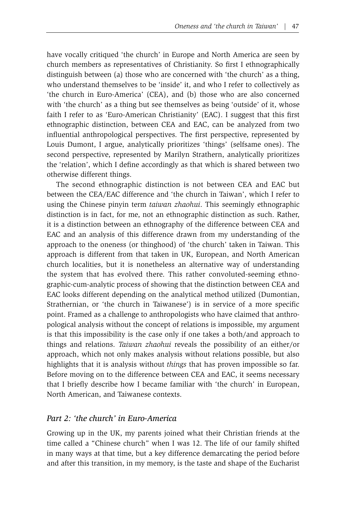have vocally critiqued 'the church' in Europe and North America are seen by church members as representatives of Christianity. So first I ethnographically distinguish between (a) those who are concerned with 'the church' as a thing, who understand themselves to be 'inside' it, and who I refer to collectively as 'the church in Euro-America' (CEA), and (b) those who are also concerned with 'the church' as a thing but see themselves as being 'outside' of it, whose faith I refer to as 'Euro-American Christianity' (EAC). I suggest that this first ethnographic distinction, between CEA and EAC, can be analyzed from two influential anthropological perspectives. The first perspective, represented by Louis Dumont, I argue, analytically prioritizes 'things' (selfsame ones). The second perspective, represented by Marilyn Strathern, analytically prioritizes the 'relation', which I define accordingly as that which is shared between two otherwise different things.

The second ethnographic distinction is not between CEA and EAC but between the CEA/EAC difference and 'the church in Taiwan', which I refer to using the Chinese pinyin term *taiwan zhaohui*. This seemingly ethnographic distinction is in fact, for me, not an ethnographic distinction as such. Rather, it is a distinction between an ethnography of the difference between CEA and EAC and an analysis of this difference drawn from my understanding of the approach to the oneness (or thinghood) of 'the church' taken in Taiwan. This approach is different from that taken in UK, European, and North American church localities, but it is nonetheless an alternative way of understanding the system that has evolved there. This rather convoluted-seeming ethnographic-cum-analytic process of showing that the distinction between CEA and EAC looks different depending on the analytical method utilized (Dumontian, Strathernian, or 'the church in Taiwanese') is in service of a more specific point. Framed as a challenge to anthropologists who have claimed that anthropological analysis without the concept of relations is impossible, my argument is that this impossibility is the case only if one takes a both/and approach to things and relations. *Taiwan zhaohui* reveals the possibility of an either/or approach, which not only makes analysis without relations possible, but also highlights that it is analysis without *things* that has proven impossible so far. Before moving on to the difference between CEA and EAC, it seems necessary that I briefly describe how I became familiar with 'the church' in European, North American, and Taiwanese contexts.

## *Part 2: 'the church' in Euro-America*

Growing up in the UK, my parents joined what their Christian friends at the time called a "Chinese church" when I was 12. The life of our family shifted in many ways at that time, but a key difference demarcating the period before and after this transition, in my memory, is the taste and shape of the Eucharist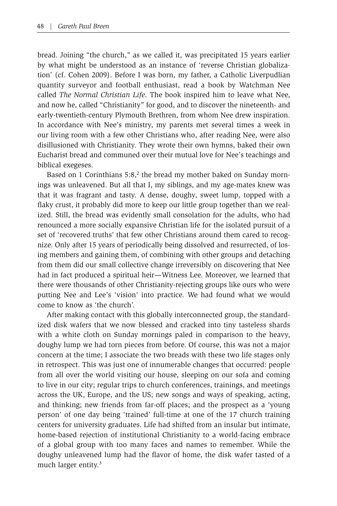bread. Joining "the church," as we called it, was precipitated 15 years earlier by what might be understood as an instance of 'reverse Christian globalization' (cf. Cohen 2009). Before I was born, my father, a Catholic Liverpudlian quantity surveyor and football enthusiast, read a book by Watchman Nee called *The Normal Christian Life*. The book inspired him to leave what Nee, and now he, called "Christianity" for good, and to discover the nineteenth- and early-twentieth-century Plymouth Brethren, from whom Nee drew inspiration. In accordance with Nee's ministry, my parents met several times a week in our living room with a few other Christians who, after reading Nee, were also disillusioned with Christianity. They wrote their own hymns, baked their own Eucharist bread and communed over their mutual love for Nee's teachings and biblical exegeses.

Based on 1 Corinthians  $5:8<sup>2</sup>$ , the bread my mother baked on Sunday mornings was unleavened. But all that I, my siblings, and my age-mates knew was that it was fragrant and tasty. A dense, doughy, sweet lump, topped with a flaky crust, it probably did more to keep our little group together than we realized. Still, the bread was evidently small consolation for the adults, who had renounced a more socially expansive Christian life for the isolated pursuit of a set of 'recovered truths' that few other Christians around them cared to recognize. Only after 15 years of periodically being dissolved and resurrected, of losing members and gaining them, of combining with other groups and detaching from them did our small collective change irreversibly on discovering that Nee had in fact produced a spiritual heir—Witness Lee. Moreover, we learned that there were thousands of other Christianity-rejecting groups like ours who were putting Nee and Lee's 'vision' into practice. We had found what we would come to know as 'the church'.

After making contact with this globally interconnected group, the standardized disk wafers that we now blessed and cracked into tiny tasteless shards with a white cloth on Sunday mornings paled in comparison to the heavy, doughy lump we had torn pieces from before. Of course, this was not a major concern at the time; I associate the two breads with these two life stages only in retrospect. This was just one of innumerable changes that occurred: people from all over the world visiting our house, sleeping on our sofa and coming to live in our city; regular trips to church conferences, trainings, and meetings across the UK, Europe, and the US; new songs and ways of speaking, acting, and thinking; new friends from far-off places; and the prospect as a 'young person' of one day being 'trained' full-time at one of the 17 church training centers for university graduates. Life had shifted from an insular but intimate, home-based rejection of institutional Christianity to a world-facing embrace of a global group with too many faces and names to remember. While the doughy unleavened lump had the flavor of home, the disk wafer tasted of a much larger entity.<sup>3</sup>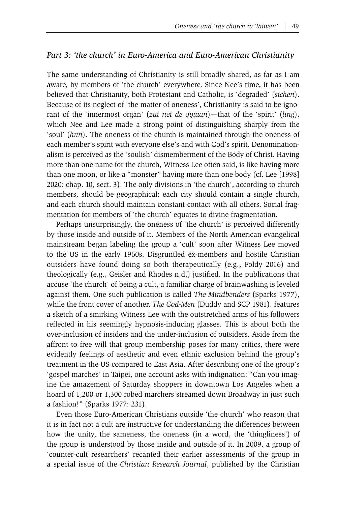#### *Part 3: 'the church' in Euro-America and Euro-American Christianity*

The same understanding of Christianity is still broadly shared, as far as I am aware, by members of 'the church' everywhere. Since Nee's time, it has been believed that Christianity, both Protestant and Catholic, is 'degraded' (*sichen*). Because of its neglect of 'the matter of oneness', Christianity is said to be ignorant of the 'innermost organ' (*zui nei de qiguan*)—that of the 'spirit' (*ling*), which Nee and Lee made a strong point of distinguishing sharply from the 'soul' (*hun*). The oneness of the church is maintained through the oneness of each member's spirit with everyone else's and with God's spirit. Denominationalism is perceived as the 'soulish' dismemberment of the Body of Christ. Having more than one name for the church, Witness Lee often said, is like having more than one moon, or like a "monster" having more than one body (cf. Lee [1998] 2020: chap. 10, sect. 3). The only divisions in 'the church', according to church members, should be geographical: each city should contain a single church, and each church should maintain constant contact with all others. Social fragmentation for members of 'the church' equates to divine fragmentation.

Perhaps unsurprisingly, the oneness of 'the church' is perceived differently by those inside and outside of it. Members of the North American evangelical mainstream began labeling the group a 'cult' soon after Witness Lee moved to the US in the early 1960s. Disgruntled ex-members and hostile Christian outsiders have found doing so both therapeutically (e.g., Foldy 2016) and theologically (e.g., Geisler and Rhodes n.d.) justified. In the publications that accuse 'the church' of being a cult, a familiar charge of brainwashing is leveled against them. One such publication is called *The Mindbenders* (Sparks 1977), while the front cover of another, *The God-Men* (Duddy and SCP 1981)*,* features a sketch of a smirking Witness Lee with the outstretched arms of his followers reflected in his seemingly hypnosis-inducing glasses. This is about both the over-inclusion of insiders and the under-inclusion of outsiders. Aside from the affront to free will that group membership poses for many critics, there were evidently feelings of aesthetic and even ethnic exclusion behind the group's treatment in the US compared to East Asia. After describing one of the group's 'gospel marches' in Taipei, one account asks with indignation: "Can you imagine the amazement of Saturday shoppers in downtown Los Angeles when a hoard of 1,200 or 1,300 robed marchers streamed down Broadway in just such a fashion!" (Sparks 1977: 231).

Even those Euro-American Christians outside 'the church' who reason that it is in fact not a cult are instructive for understanding the differences between how the unity, the sameness, the oneness (in a word, the 'thingliness') of the group is understood by those inside and outside of it. In 2009, a group of 'counter-cult researchers' recanted their earlier assessments of the group in a special issue of the *Christian Research Journal*, published by the Christian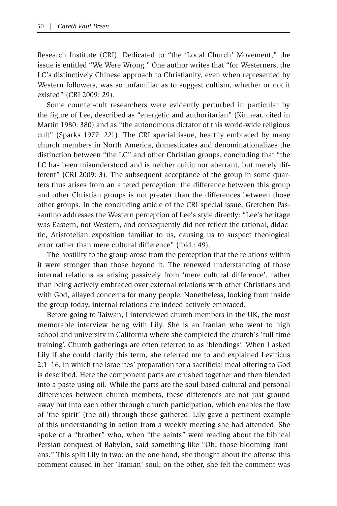Research Institute (CRI). Dedicated to "the 'Local Church' Movement," the issue is entitled "We Were Wrong." One author writes that "for Westerners, the LC's distinctively Chinese approach to Christianity, even when represented by Western followers, was so unfamiliar as to suggest cultism, whether or not it existed" (CRI 2009: 29).

Some counter-cult researchers were evidently perturbed in particular by the figure of Lee, described as "energetic and authoritarian" (Kinnear, cited in Martin 1980: 380) and as "the autonomous dictator of this world-wide religious cult" (Sparks 1977: 221). The CRI special issue, heartily embraced by many church members in North America, domesticates and denominationalizes the distinction between "the LC" and other Christian groups, concluding that "the LC has been misunderstood and is neither cultic nor aberrant, but merely different" (CRI 2009: 3). The subsequent acceptance of the group in some quarters thus arises from an altered perception: the difference between this group and other Christian groups is not greater than the differences between those other groups. In the concluding article of the CRI special issue, Gretchen Passantino addresses the Western perception of Lee's style directly: "Lee's heritage was Eastern, not Western, and consequently did not reflect the rational, didactic, Aristotelian exposition familiar to us, causing us to suspect theological error rather than mere cultural difference" (ibid.: 49).

The hostility to the group arose from the perception that the relations within it were stronger than those beyond it. The renewed understanding of those internal relations as arising passively from 'mere cultural difference', rather than being actively embraced over external relations with other Christians and with God, allayed concerns for many people. Nonetheless, looking from inside the group today, internal relations are indeed actively embraced.

Before going to Taiwan, I interviewed church members in the UK, the most memorable interview being with Lily. She is an Iranian who went to high school and university in California where she completed the church's 'full-time training'. Church gatherings are often referred to as 'blendings'. When I asked Lily if she could clarify this term, she referred me to and explained Leviticus 2:1–16, in which the Israelites' preparation for a sacrificial meal offering to God is described. Here the component parts are crushed together and then blended into a paste using oil. While the parts are the soul-based cultural and personal differences between church members, these differences are not just ground away but into each other through church participation, which enables the flow of 'the spirit' (the oil) through those gathered. Lily gave a pertinent example of this understanding in action from a weekly meeting she had attended. She spoke of a "brother" who, when "the saints" were reading about the biblical Persian conquest of Babylon, said something like "Oh, those blooming Iranians." This split Lily in two: on the one hand, she thought about the offense this comment caused in her 'Iranian' soul; on the other, she felt the comment was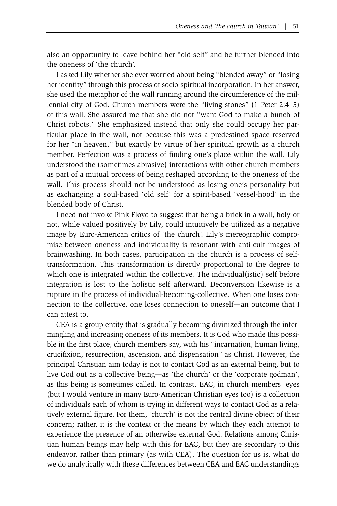also an opportunity to leave behind her "old self" and be further blended into the oneness of 'the church'.

I asked Lily whether she ever worried about being "blended away" or "losing her identity" through this process of socio-spiritual incorporation. In her answer, she used the metaphor of the wall running around the circumference of the millennial city of God. Church members were the "living stones" (1 Peter 2:4–5) of this wall. She assured me that she did not "want God to make a bunch of Christ robots." She emphasized instead that only she could occupy her particular place in the wall, not because this was a predestined space reserved for her "in heaven," but exactly by virtue of her spiritual growth as a church member. Perfection was a process of finding one's place within the wall. Lily understood the (sometimes abrasive) interactions with other church members as part of a mutual process of being reshaped according to the oneness of the wall. This process should not be understood as losing one's personality but as exchanging a soul-based 'old self' for a spirit-based 'vessel-hood' in the blended body of Christ.

I need not invoke Pink Floyd to suggest that being a brick in a wall, holy or not, while valued positively by Lily, could intuitively be utilized as a negative image by Euro-American critics of 'the church'. Lily's mereographic compromise between oneness and individuality is resonant with anti-cult images of brainwashing. In both cases, participation in the church is a process of selftransformation. This transformation is directly proportional to the degree to which one is integrated within the collective. The individual(istic) self before integration is lost to the holistic self afterward. Deconversion likewise is a rupture in the process of individual-becoming-collective. When one loses connection to the collective, one loses connection to oneself—an outcome that I can attest to.

CEA is a group entity that is gradually becoming divinized through the intermingling and increasing oneness of its members. It is God who made this possible in the first place, church members say, with his "incarnation, human living, crucifixion, resurrection, ascension, and dispensation" as Christ. However, the principal Christian aim today is not to contact God as an external being, but to live God out as a collective being—as 'the church' or the 'corporate godman', as this being is sometimes called. In contrast, EAC, in church members' eyes (but I would venture in many Euro-American Christian eyes too) is a collection of individuals each of whom is trying in different ways to contact God as a relatively external figure. For them, 'church' is not the central divine object of their concern; rather, it is the context or the means by which they each attempt to experience the presence of an otherwise external God. Relations among Christian human beings may help with this for EAC, but they are secondary to this endeavor, rather than primary (as with CEA). The question for us is, what do we do analytically with these differences between CEA and EAC understandings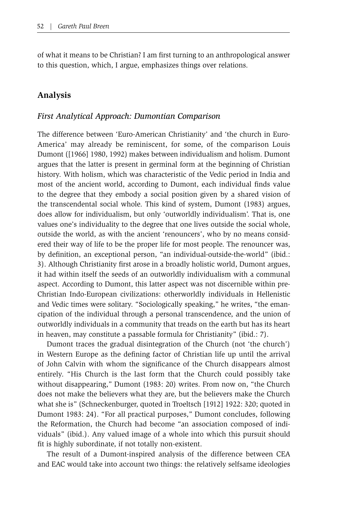of what it means to be Christian? I am first turning to an anthropological answer to this question, which, I argue, emphasizes things over relations.

# **Analysis**

#### *First Analytical Approach: Dumontian Comparison*

The difference between 'Euro-American Christianity' and 'the church in Euro-America' may already be reminiscent, for some, of the comparison Louis Dumont ([1966] 1980, 1992) makes between individualism and holism. Dumont argues that the latter is present in germinal form at the beginning of Christian history. With holism, which was characteristic of the Vedic period in India and most of the ancient world, according to Dumont, each individual finds value to the degree that they embody a social position given by a shared vision of the transcendental social whole. This kind of system, Dumont (1983) argues, does allow for individualism, but only 'outworldly individualism'. That is, one values one's individuality to the degree that one lives outside the social whole, outside the world, as with the ancient 'renouncers', who by no means considered their way of life to be the proper life for most people. The renouncer was, by definition, an exceptional person, "an individual-outside-the-world" (ibid.: 3). Although Christianity first arose in a broadly holistic world, Dumont argues, it had within itself the seeds of an outworldly individualism with a communal aspect. According to Dumont, this latter aspect was not discernible within pre-Christian Indo-European civilizations: otherworldly individuals in Hellenistic and Vedic times were solitary. "Sociologically speaking," he writes, "the emancipation of the individual through a personal transcendence, and the union of outworldly individuals in a community that treads on the earth but has its heart in heaven, may constitute a passable formula for Christianity" (ibid.: 7).

Dumont traces the gradual disintegration of the Church (not 'the church') in Western Europe as the defining factor of Christian life up until the arrival of John Calvin with whom the significance of the Church disappears almost entirely. "His Church is the last form that the Church could possibly take without disappearing," Dumont (1983: 20) writes. From now on, "the Church does not make the believers what they are, but the believers make the Church what she is" (Schneckenburger, quoted in Troeltsch [1912] 1922: 320; quoted in Dumont 1983: 24). "For all practical purposes," Dumont concludes, following the Reformation, the Church had become "an association composed of individuals" (ibid.). Any valued image of a whole into which this pursuit should fit is highly subordinate, if not totally non-existent.

The result of a Dumont-inspired analysis of the difference between CEA and EAC would take into account two things: the relatively selfsame ideologies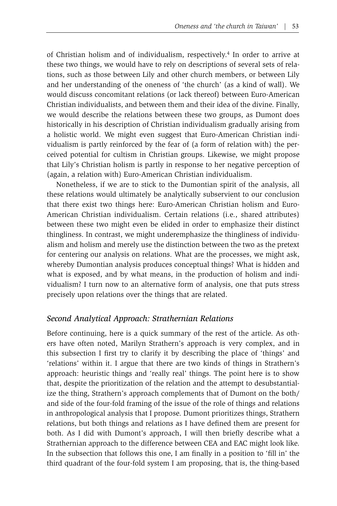of Christian holism and of individualism, respectively.4 In order to arrive at these two things, we would have to rely on descriptions of several sets of relations, such as those between Lily and other church members, or between Lily and her understanding of the oneness of 'the church' (as a kind of wall). We would discuss concomitant relations (or lack thereof) between Euro-American Christian individualists, and between them and their idea of the divine. Finally, we would describe the relations between these two groups, as Dumont does historically in his description of Christian individualism gradually arising from a holistic world. We might even suggest that Euro-American Christian individualism is partly reinforced by the fear of (a form of relation with) the perceived potential for cultism in Christian groups. Likewise, we might propose that Lily's Christian holism is partly in response to her negative perception of (again, a relation with) Euro-American Christian individualism.

Nonetheless, if we are to stick to the Dumontian spirit of the analysis, all these relations would ultimately be analytically subservient to our conclusion that there exist two things here: Euro-American Christian holism and Euro-American Christian individualism. Certain relations (i.e., shared attributes) between these two might even be elided in order to emphasize their distinct thingliness. In contrast, we might underemphasize the thingliness of individualism and holism and merely use the distinction between the two as the pretext for centering our analysis on relations. What are the processes, we might ask, whereby Dumontian analysis produces conceptual things? What is hidden and what is exposed, and by what means, in the production of holism and individualism? I turn now to an alternative form of analysis, one that puts stress precisely upon relations over the things that are related.

## *Second Analytical Approach: Strathernian Relations*

Before continuing, here is a quick summary of the rest of the article. As others have often noted, Marilyn Strathern's approach is very complex, and in this subsection I first try to clarify it by describing the place of 'things' and 'relations' within it. I argue that there are two kinds of things in Strathern's approach: heuristic things and 'really real' things. The point here is to show that, despite the prioritization of the relation and the attempt to desubstantialize the thing, Strathern's approach complements that of Dumont on the both/ and side of the four-fold framing of the issue of the role of things and relations in anthropological analysis that I propose. Dumont prioritizes things, Strathern relations, but both things and relations as I have defined them are present for both. As I did with Dumont's approach, I will then briefly describe what a Strathernian approach to the difference between CEA and EAC might look like. In the subsection that follows this one, I am finally in a position to 'fill in' the third quadrant of the four-fold system I am proposing, that is, the thing-based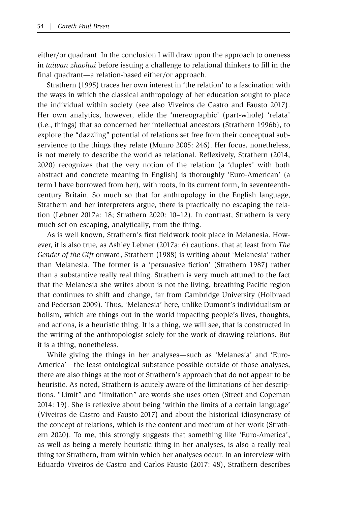either/or quadrant. In the conclusion I will draw upon the approach to oneness in *taiwan zhaohui* before issuing a challenge to relational thinkers to fill in the final quadrant—a relation-based either/or approach.

Strathern (1995) traces her own interest in 'the relation' to a fascination with the ways in which the classical anthropology of her education sought to place the individual within society (see also Viveiros de Castro and Fausto 2017). Her own analytics, however, elide the 'mereographic' (part-whole) 'relata' (i.e., things) that so concerned her intellectual ancestors (Strathern 1996b), to explore the "dazzling" potential of relations set free from their conceptual subservience to the things they relate (Munro 2005: 246). Her focus, nonetheless, is not merely to describe the world as relational. Reflexively, Strathern (2014, 2020) recognizes that the very notion of the relation (a 'duplex' with both abstract and concrete meaning in English) is thoroughly 'Euro-American' (a term I have borrowed from her), with roots, in its current form, in seventeenthcentury Britain. So much so that for anthropology in the English language, Strathern and her interpreters argue, there is practically no escaping the relation (Lebner 2017a: 18; Strathern 2020: 10–12). In contrast, Strathern is very much set on escaping, analytically, from the thing.

As is well known, Strathern's first fieldwork took place in Melanesia. However, it is also true, as Ashley Lebner (2017a: 6) cautions, that at least from *The Gender of the Gift* onward, Strathern (1988) is writing about 'Melanesia' rather than Melanesia. The former is a 'persuasive fiction' (Strathern 1987) rather than a substantive really real thing. Strathern is very much attuned to the fact that the Melanesia she writes about is not the living, breathing Pacific region that continues to shift and change, far from Cambridge University (Holbraad and Pederson 2009). Thus, 'Melanesia' here, unlike Dumont's individualism or holism, which are things out in the world impacting people's lives, thoughts, and actions, is a heuristic thing. It is a thing, we will see, that is constructed in the writing of the anthropologist solely for the work of drawing relations. But it is a thing, nonetheless.

While giving the things in her analyses—such as 'Melanesia' and 'Euro-America'—the least ontological substance possible outside of those analyses, there are also things at the root of Strathern's approach that do not appear to be heuristic. As noted, Strathern is acutely aware of the limitations of her descriptions. "Limit" and "limitation" are words she uses often (Street and Copeman 2014: 19). She is reflexive about being 'within the limits of a certain language' (Viveiros de Castro and Fausto 2017) and about the historical idiosyncrasy of the concept of relations, which is the content and medium of her work (Strathern 2020). To me, this strongly suggests that something like 'Euro-America', as well as being a merely heuristic thing in her analyses, is also a really real thing for Strathern, from within which her analyses occur. In an interview with Eduardo Viveiros de Castro and Carlos Fausto (2017: 48), Strathern describes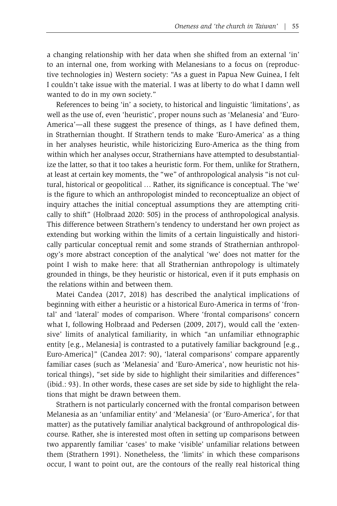a changing relationship with her data when she shifted from an external 'in' to an internal one, from working with Melanesians to a focus on (reproductive technologies in) Western society: "As a guest in Papua New Guinea, I felt I couldn't take issue with the material. I was at liberty to do what I damn well wanted to do in my own society."

References to being 'in' a society, to historical and linguistic 'limitations', as well as the use of, even 'heuristic', proper nouns such as 'Melanesia' and 'Euro-America'—all these suggest the presence of things, as I have defined them, in Strathernian thought. If Strathern tends to make 'Euro-America' as a thing in her analyses heuristic, while historicizing Euro-America as the thing from within which her analyses occur, Strathernians have attempted to desubstantialize the latter, so that it too takes a heuristic form. For them, unlike for Strathern, at least at certain key moments, the "we" of anthropological analysis "is not cultural, historical or geopolitical … Rather, its significance is conceptual. The 'we' is the figure to which an anthropologist minded to reconceptualize an object of inquiry attaches the initial conceptual assumptions they are attempting critically to shift" (Holbraad 2020: 505) in the process of anthropological analysis. This difference between Strathern's tendency to understand her own project as extending but working within the limits of a certain linguistically and historically particular conceptual remit and some strands of Strathernian anthropology's more abstract conception of the analytical 'we' does not matter for the point I wish to make here: that all Strathernian anthropology is ultimately grounded in things, be they heuristic or historical, even if it puts emphasis on the relations within and between them.

Matei Candea (2017, 2018) has described the analytical implications of beginning with either a heuristic or a historical Euro-America in terms of 'frontal' and 'lateral' modes of comparison. Where 'frontal comparisons' concern what I, following Holbraad and Pedersen (2009, 2017), would call the 'extensive' limits of analytical familiarity, in which "an unfamiliar ethnographic entity [e.g., Melanesia] is contrasted to a putatively familiar background [e.g., Euro-America]" (Candea 2017: 90), 'lateral comparisons' compare apparently familiar cases (such as 'Melanesia' and 'Euro-America', now heuristic not historical things), "set side by side to highlight their similarities and differences" (ibid.: 93). In other words, these cases are set side by side to highlight the relations that might be drawn between them.

Strathern is not particularly concerned with the frontal comparison between Melanesia as an 'unfamiliar entity' and 'Melanesia' (or 'Euro-America', for that matter) as the putatively familiar analytical background of anthropological discourse. Rather, she is interested most often in setting up comparisons between two apparently familiar 'cases' to make 'visible' unfamiliar relations between them (Strathern 1991). Nonetheless, the 'limits' in which these comparisons occur, I want to point out, are the contours of the really real historical thing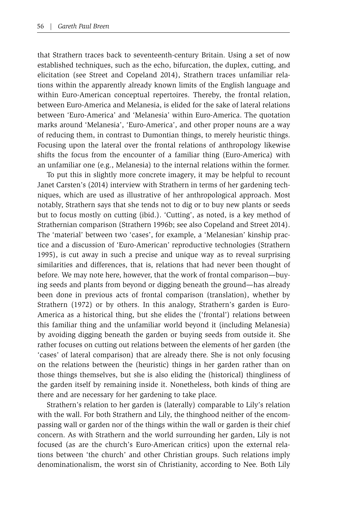that Strathern traces back to seventeenth-century Britain. Using a set of now established techniques, such as the echo, bifurcation, the duplex, cutting, and elicitation (see Street and Copeland 2014), Strathern traces unfamiliar relations within the apparently already known limits of the English language and within Euro-American conceptual repertoires. Thereby, the frontal relation, between Euro-America and Melanesia, is elided for the sake of lateral relations between 'Euro-America' and 'Melanesia' within Euro-America. The quotation marks around 'Melanesia', 'Euro-America', and other proper nouns are a way of reducing them, in contrast to Dumontian things, to merely heuristic things. Focusing upon the lateral over the frontal relations of anthropology likewise shifts the focus from the encounter of a familiar thing (Euro-America) with an unfamiliar one (e.g., Melanesia) to the internal relations within the former.

To put this in slightly more concrete imagery, it may be helpful to recount Janet Carsten's (2014) interview with Strathern in terms of her gardening techniques, which are used as illustrative of her anthropological approach. Most notably, Strathern says that she tends not to dig or to buy new plants or seeds but to focus mostly on cutting (ibid.). 'Cutting', as noted, is a key method of Strathernian comparison (Strathern 1996b; see also Copeland and Street 2014). The 'material' between two 'cases', for example, a 'Melanesian' kinship practice and a discussion of 'Euro-American' reproductive technologies (Strathern 1995), is cut away in such a precise and unique way as to reveal surprising similarities and differences, that is, relations that had never been thought of before. We may note here, however, that the work of frontal comparison—buying seeds and plants from beyond or digging beneath the ground—has already been done in previous acts of frontal comparison (translation), whether by Strathern (1972) or by others. In this analogy, Strathern's garden is Euro-America as a historical thing, but she elides the ('frontal') relations between this familiar thing and the unfamiliar world beyond it (including Melanesia) by avoiding digging beneath the garden or buying seeds from outside it. She rather focuses on cutting out relations between the elements of her garden (the 'cases' of lateral comparison) that are already there. She is not only focusing on the relations between the (heuristic) things in her garden rather than on those things themselves, but she is also eliding the (historical) thingliness of the garden itself by remaining inside it. Nonetheless, both kinds of thing are there and are necessary for her gardening to take place.

Strathern's relation to her garden is (laterally) comparable to Lily's relation with the wall. For both Strathern and Lily, the thinghood neither of the encompassing wall or garden nor of the things within the wall or garden is their chief concern. As with Strathern and the world surrounding her garden, Lily is not focused (as are the church's Euro-American critics) upon the external relations between 'the church' and other Christian groups. Such relations imply denominationalism, the worst sin of Christianity, according to Nee. Both Lily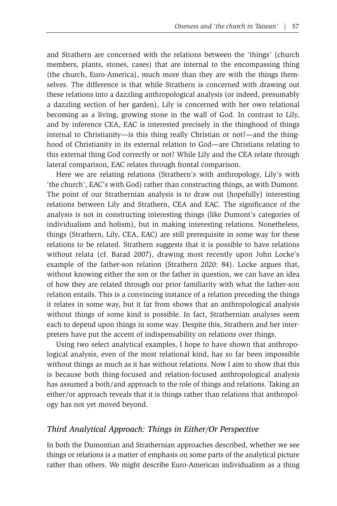and Strathern are concerned with the relations between the 'things' (church members, plants, stones, cases) that are internal to the encompassing thing (the church, Euro-America), much more than they are with the things themselves. The difference is that while Strathern is concerned with drawing out these relations into a dazzling anthropological analysis (or indeed, presumably a dazzling section of her garden), Lily is concerned with her own relational becoming as a living, growing stone in the wall of God. In contrast to Lily, and by inference CEA, EAC is interested precisely in the thinghood of things internal to Christianity—is this thing really Christian or not?—and the thinghood of Christianity in its external relation to God—are Christians relating to this external thing God correctly or not? While Lily and the CEA relate through lateral comparison, EAC relates through frontal comparison.

Here we are relating relations (Strathern's with anthropology, Lily's with 'the church', EAC's with God) rather than constructing things, as with Dumont. The point of our Strathernian analysis is to draw out (hopefully) interesting relations between Lily and Strathern, CEA and EAC. The significance of the analysis is not in constructing interesting things (like Dumont's categories of individualism and holism), but in making interesting relations. Nonetheless, things (Strathern, Lily, CEA, EAC) are still prerequisite in some way for these relations to be related. Strathern suggests that it is possible to have relations without relata (cf. Barad 2007), drawing most recently upon John Locke's example of the father-son relation (Strathern 2020: 84). Locke argues that, without knowing either the son or the father in question, we can have an idea of how they are related through our prior familiarity with what the father-son relation entails. This is a convincing instance of a relation preceding the things it relates in some way, but it far from shows that an anthropological analysis without things of some kind is possible. In fact, Strathernian analyses seem each to depend upon things in some way. Despite this, Strathern and her interpreters have put the accent of indispensability on relations over things.

Using two select analytical examples, I hope to have shown that anthropological analysis, even of the most relational kind, has so far been impossible without things as much as it has without relations. Now I aim to show that this is because both thing-focused and relation-focused anthropological analysis has assumed a both/and approach to the role of things and relations. Taking an either/or approach reveals that it is things rather than relations that anthropology has not yet moved beyond.

## *Third Analytical Approach: Things in Either/Or Perspective*

In both the Dumontian and Strathernian approaches described, whether we see things or relations is a matter of emphasis on some parts of the analytical picture rather than others. We might describe Euro-American individualism as a thing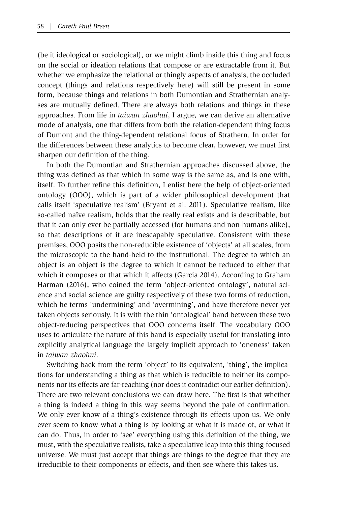(be it ideological or sociological), or we might climb inside this thing and focus on the social or ideation relations that compose or are extractable from it. But whether we emphasize the relational or thingly aspects of analysis, the occluded concept (things and relations respectively here) will still be present in some form, because things and relations in both Dumontian and Strathernian analyses are mutually defined. There are always both relations and things in these approaches. From life in *taiwan zhaohui*, I argue, we can derive an alternative mode of analysis, one that differs from both the relation-dependent thing focus of Dumont and the thing-dependent relational focus of Strathern. In order for the differences between these analytics to become clear, however, we must first sharpen our definition of the thing.

In both the Dumontian and Strathernian approaches discussed above, the thing was defined as that which in some way is the same as, and is one with, itself. To further refine this definition, I enlist here the help of object-oriented ontology (OOO), which is part of a wider philosophical development that calls itself 'speculative realism' (Bryant et al. 2011). Speculative realism, like so-called naïve realism, holds that the really real exists and is describable, but that it can only ever be partially accessed (for humans and non-humans alike), so that descriptions of it are inescapably speculative. Consistent with these premises, OOO posits the non-reducible existence of 'objects' at all scales, from the microscopic to the hand-held to the institutional. The degree to which an object is an object is the degree to which it cannot be reduced to either that which it composes or that which it affects (Garcia 2014). According to Graham Harman (2016), who coined the term 'object-oriented ontology', natural science and social science are guilty respectively of these two forms of reduction, which he terms 'undermining' and 'overmining', and have therefore never yet taken objects seriously. It is with the thin 'ontological' band between these two object-reducing perspectives that OOO concerns itself. The vocabulary OOO uses to articulate the nature of this band is especially useful for translating into explicitly analytical language the largely implicit approach to 'oneness' taken in *taiwan zhaohui*.

Switching back from the term 'object' to its equivalent, 'thing', the implications for understanding a thing as that which is reducible to neither its components nor its effects are far-reaching (nor does it contradict our earlier definition). There are two relevant conclusions we can draw here. The first is that whether a thing is indeed a thing in this way seems beyond the pale of confirmation. We only ever know of a thing's existence through its effects upon us. We only ever seem to know what a thing is by looking at what it is made of, or what it can do. Thus, in order to 'see' everything using this definition of the thing, we must, with the speculative realists, take a speculative leap into this thing-focused universe. We must just accept that things are things to the degree that they are irreducible to their components or effects, and then see where this takes us.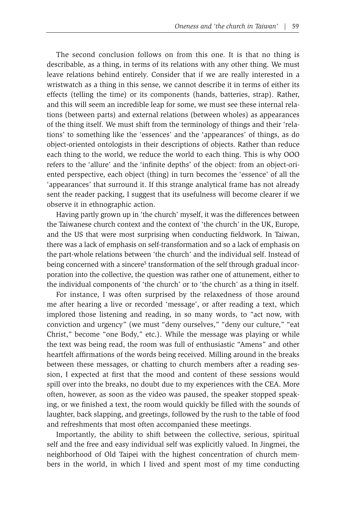The second conclusion follows on from this one. It is that no thing is describable, as a thing, in terms of its relations with any other thing. We must leave relations behind entirely. Consider that if we are really interested in a wristwatch as a thing in this sense, we cannot describe it in terms of either its effects (telling the time) or its components (hands, batteries, strap). Rather, and this will seem an incredible leap for some, we must see these internal relations (between parts) and external relations (between wholes) as appearances of the thing itself. We must shift from the terminology of things and their 'relations' to something like the 'essences' and the 'appearances' of things, as do object-oriented ontologists in their descriptions of objects. Rather than reduce each thing to the world, we reduce the world to each thing. This is why OOO refers to the 'allure' and the 'infinite depths' of the object: from an object-oriented perspective, each object (thing) in turn becomes the 'essence' of all the 'appearances' that surround it. If this strange analytical frame has not already sent the reader packing, I suggest that its usefulness will become clearer if we observe it in ethnographic action.

Having partly grown up in 'the church' myself, it was the differences between the Taiwanese church context and the context of 'the church' in the UK, Europe, and the US that were most surprising when conducting fieldwork. In Taiwan, there was a lack of emphasis on self-transformation and so a lack of emphasis on the part-whole relations between 'the church' and the individual self. Instead of being concerned with a sincere<sup>5</sup> transformation of the self through gradual incorporation into the collective, the question was rather one of attunement, either to the individual components of 'the church' or to 'the church' as a thing in itself.

For instance, I was often surprised by the relaxedness of those around me after hearing a live or recorded 'message', or after reading a text, which implored those listening and reading, in so many words, to "act now, with conviction and urgency" (we must "deny ourselves," "deny our culture," "eat Christ," become "one Body," etc.). While the message was playing or while the text was being read, the room was full of enthusiastic "Amens" and other heartfelt affirmations of the words being received. Milling around in the breaks between these messages, or chatting to church members after a reading session, I expected at first that the mood and content of these sessions would spill over into the breaks, no doubt due to my experiences with the CEA. More often, however, as soon as the video was paused, the speaker stopped speaking, or we finished a text, the room would quickly be filled with the sounds of laughter, back slapping, and greetings, followed by the rush to the table of food and refreshments that most often accompanied these meetings.

Importantly, the ability to shift between the collective, serious, spiritual self and the free and easy individual self was explicitly valued. In Jingmei, the neighborhood of Old Taipei with the highest concentration of church members in the world, in which I lived and spent most of my time conducting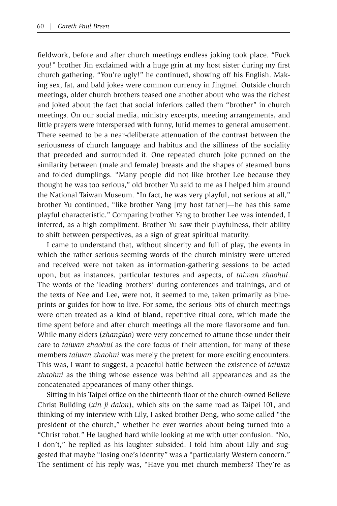fieldwork, before and after church meetings endless joking took place. "Fuck you!" brother Jin exclaimed with a huge grin at my host sister during my first church gathering. "You're ugly!" he continued, showing off his English. Making sex, fat, and bald jokes were common currency in Jingmei. Outside church meetings, older church brothers teased one another about who was the richest and joked about the fact that social inferiors called them "brother" in church meetings. On our social media, ministry excerpts, meeting arrangements, and little prayers were interspersed with funny, lurid memes to general amusement. There seemed to be a near-deliberate attenuation of the contrast between the seriousness of church language and habitus and the silliness of the sociality that preceded and surrounded it. One repeated church joke punned on the similarity between (male and female) breasts and the shapes of steamed buns and folded dumplings. "Many people did not like brother Lee because they thought he was too serious," old brother Yu said to me as I helped him around the National Taiwan Museum. "In fact, he was very playful, not serious at all," brother Yu continued, "like brother Yang [my host father]—he has this same playful characteristic." Comparing brother Yang to brother Lee was intended, I inferred, as a high compliment. Brother Yu saw their playfulness, their ability to shift between perspectives, as a sign of great spiritual maturity.

I came to understand that, without sincerity and full of play, the events in which the rather serious-seeming words of the church ministry were uttered and received were not taken as information-gathering sessions to be acted upon, but as instances, particular textures and aspects, of *taiwan zhaohui*. The words of the 'leading brothers' during conferences and trainings, and of the texts of Nee and Lee, were not, it seemed to me, taken primarily as blueprints or guides for how to live. For some, the serious bits of church meetings were often treated as a kind of bland, repetitive ritual core, which made the time spent before and after church meetings all the more flavorsome and fun. While many elders (*zhanglao*) were very concerned to attune those under their care to *taiwan zhaohui* as the core focus of their attention, for many of these members *taiwan zhaohui* was merely the pretext for more exciting encounters. This was, I want to suggest, a peaceful battle between the existence of *taiwan zhaohui* as the thing whose essence was behind all appearances and as the concatenated appearances of many other things.

Sitting in his Taipei office on the thirteenth floor of the church-owned Believe Christ Building (*xin ji dalou*), which sits on the same road as Taipei 101, and thinking of my interview with Lily, I asked brother Deng, who some called "the president of the church," whether he ever worries about being turned into a "Christ robot." He laughed hard while looking at me with utter confusion. "No, I don't," he replied as his laughter subsided. I told him about Lily and suggested that maybe "losing one's identity" was a "particularly Western concern." The sentiment of his reply was, "Have you met church members? They're as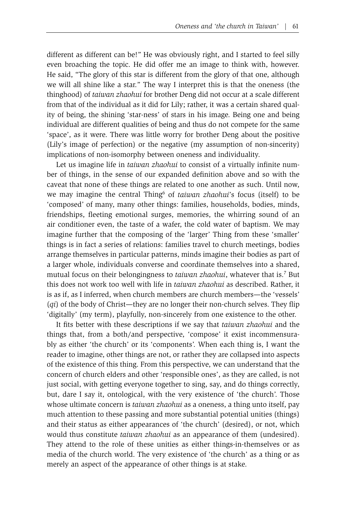different as different can be!" He was obviously right, and I started to feel silly even broaching the topic. He did offer me an image to think with, however. He said, "The glory of this star is different from the glory of that one, although we will all shine like a star." The way I interpret this is that the oneness (the thinghood) of *taiwan zhaohui* for brother Deng did not occur at a scale different from that of the individual as it did for Lily; rather, it was a certain shared quality of being, the shining 'star-ness' of stars in his image. Being one and being individual are different qualities of being and thus do not compete for the same 'space', as it were. There was little worry for brother Deng about the positive (Lily's image of perfection) or the negative (my assumption of non-sincerity) implications of non-isomorphy between oneness and individuality.

Let us imagine life in *taiwan zhaohui* to consist of a virtually infinite number of things, in the sense of our expanded definition above and so with the caveat that none of these things are related to one another as such. Until now, we may imagine the central Thing<sup>6</sup> of *taiwan zhaohui's* focus (itself) to be 'composed' of many, many other things: families, households, bodies, minds, friendships, fleeting emotional surges, memories, the whirring sound of an air conditioner even, the taste of a wafer, the cold water of baptism. We may imagine further that the composing of the 'larger' Thing from these 'smaller' things is in fact a series of relations: families travel to church meetings, bodies arrange themselves in particular patterns, minds imagine their bodies as part of a larger whole, individuals converse and coordinate themselves into a shared, mutual focus on their belongingness to *taiwan zhaohui*, whatever that is.7 But this does not work too well with life in *taiwan zhaohui* as described. Rather, it is as if, as I inferred, when church members are church members—the 'vessels' (*qi*) of the body of Christ—they are no longer their non-church selves. They flip 'digitally' (my term), playfully, non-sincerely from one existence to the other.

It fits better with these descriptions if we say that *taiwan zhaohui* and the things that, from a both/and perspective, 'compose' it exist incommensurably as either 'the church' or its 'components'. When each thing is, I want the reader to imagine, other things are not, or rather they are collapsed into aspects of the existence of this thing. From this perspective, we can understand that the concern of church elders and other 'responsible ones', as they are called, is not just social, with getting everyone together to sing, say, and do things correctly, but, dare I say it, ontological, with the very existence of 'the church'. Those whose ultimate concern is *taiwan zhaohui* as a oneness, a thing unto itself, pay much attention to these passing and more substantial potential unities (things) and their status as either appearances of 'the church' (desired), or not, which would thus constitute *taiwan zhaohui* as an appearance of them (undesired). They attend to the role of these unities as either things-in-themselves or as media of the church world. The very existence of 'the church' as a thing or as merely an aspect of the appearance of other things is at stake.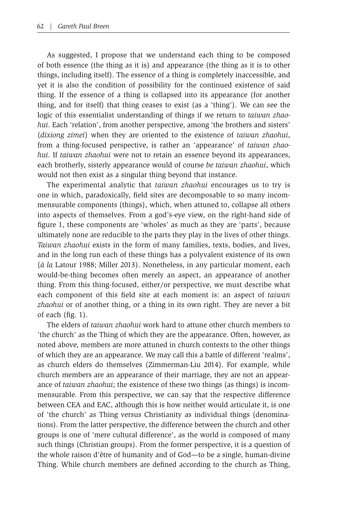As suggested, I propose that we understand each thing to be composed of both essence (the thing as it is) and appearance (the thing as it is to other things, including itself). The essence of a thing is completely inaccessible, and yet it is also the condition of possibility for the continued existence of said thing. If the essence of a thing is collapsed into its appearance (for another thing, and for itself) that thing ceases to exist (as a 'thing'). We can see the logic of this essentialist understanding of things if we return to *taiwan zhaohui*. Each 'relation', from another perspective, among 'the brothers and sisters' (*dixiong zimei*) when they are oriented to the existence of *taiwan zhaohui*, from a thing-focused perspective, is rather an 'appearance' of *taiwan zhaohui*. If *taiwan zhaohui* were not to retain an essence beyond its appearances, each brotherly, sisterly appearance would of course *be taiwan zhaohui*, which would not then exist as a singular thing beyond that instance.

The experimental analytic that *taiwan zhaohui* encourages us to try is one in which, paradoxically, field sites are decomposable to so many incommensurable components (things), which, when attuned to, collapse all others into aspects of themselves. From a god's-eye view, on the right-hand side of figure 1, these components are 'wholes' as much as they are 'parts', because ultimately none are reducible to the parts they play in the lives of other things. *Taiwan zhaohui* exists in the form of many families, texts, bodies, and lives, and in the long run each of these things has a polyvalent existence of its own (*à la* Latour 1988; Miller 2013). Nonetheless, in any particular moment, each would-be-thing becomes often merely an aspect, an appearance of another thing. From this thing-focused, either/or perspective, we must describe what each component of this field site at each moment is: an aspect of *taiwan zhaohui* or of another thing, or a thing in its own right. They are never a bit of each (fig. 1).

The elders of *taiwan zhaohui* work hard to attune other church members to 'the church' as the Thing of which they are the appearance. Often, however, as noted above, members are more attuned in church contexts to the other things of which they are an appearance. We may call this a battle of different 'realms', as church elders do themselves (Zimmerman-Liu 2014). For example, while church members are an appearance of their marriage, they are not an appearance of *taiwan zhaohui*; the existence of these two things (as things) is incommensurable. From this perspective, we can say that the respective difference between CEA and EAC, although this is how neither would articulate it, is one of 'the church' as Thing versus Christianity as individual things (denominations). From the latter perspective, the difference between the church and other groups is one of 'mere cultural difference', as the world is composed of many such things (Christian groups). From the former perspective, it is a question of the whole raison d'être of humanity and of God—to be a single, human-divine Thing. While church members are defined according to the church as Thing,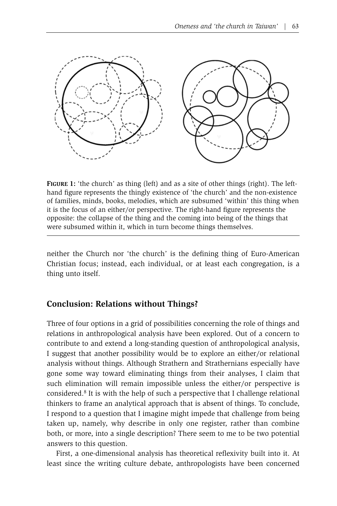

**Figure 1:** 'the church' as thing (left) and as a site of other things (right). The lefthand figure represents the thingly existence of 'the church' and the non-existence of families, minds, books, melodies, which are subsumed 'within' this thing when it is the focus of an either/or perspective. The right-hand figure represents the opposite: the collapse of the thing and the coming into being of the things that were subsumed within it, which in turn become things themselves.

neither the Church nor 'the church' is the defining thing of Euro-American Christian focus; instead, each individual, or at least each congregation, is a thing unto itself.

# **Conclusion: Relations without Things?**

Three of four options in a grid of possibilities concerning the role of things and relations in anthropological analysis have been explored. Out of a concern to contribute to and extend a long-standing question of anthropological analysis, I suggest that another possibility would be to explore an either/or relational analysis without things. Although Strathern and Strathernians especially have gone some way toward eliminating things from their analyses, I claim that such elimination will remain impossible unless the either/or perspective is considered.<sup>8</sup> It is with the help of such a perspective that I challenge relational thinkers to frame an analytical approach that is absent of things. To conclude, I respond to a question that I imagine might impede that challenge from being taken up, namely, why describe in only one register, rather than combine both, or more, into a single description? There seem to me to be two potential answers to this question.

First, a one-dimensional analysis has theoretical reflexivity built into it. At least since the writing culture debate, anthropologists have been concerned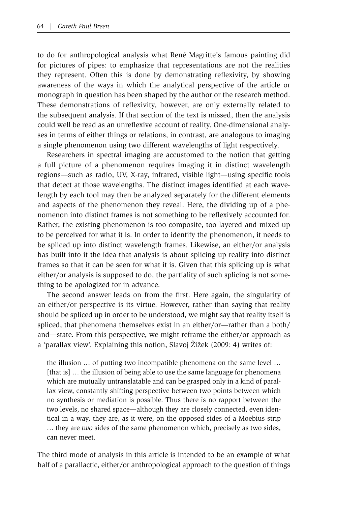to do for anthropological analysis what René Magritte's famous painting did for pictures of pipes: to emphasize that representations are not the realities they represent. Often this is done by demonstrating reflexivity, by showing awareness of the ways in which the analytical perspective of the article or monograph in question has been shaped by the author or the research method. These demonstrations of reflexivity, however, are only externally related to the subsequent analysis. If that section of the text is missed, then the analysis could well be read as an unreflexive account of reality. One-dimensional analyses in terms of either things or relations, in contrast, are analogous to imaging a single phenomenon using two different wavelengths of light respectively.

Researchers in spectral imaging are accustomed to the notion that getting a full picture of a phenomenon requires imaging it in distinct wavelength regions—such as radio, UV, X-ray, infrared, visible light—using specific tools that detect at those wavelengths. The distinct images identified at each wavelength by each tool may then be analyzed separately for the different elements and aspects of the phenomenon they reveal. Here, the dividing up of a phenomenon into distinct frames is not something to be reflexively accounted for. Rather, the existing phenomenon is too composite, too layered and mixed up to be perceived for what it is. In order to identify the phenomenon, it needs to be spliced up into distinct wavelength frames. Likewise, an either/or analysis has built into it the idea that analysis is about splicing up reality into distinct frames so that it can be seen for what it is. Given that this splicing up is what either/or analysis is supposed to do, the partiality of such splicing is not something to be apologized for in advance.

The second answer leads on from the first. Here again, the singularity of an either/or perspective is its virtue. However, rather than saying that reality should be spliced up in order to be understood, we might say that reality itself is spliced, that phenomena themselves exist in an either/or—rather than a both/ and—state. From this perspective, we might reframe the either/or approach as a 'parallax view'. Explaining this notion, Slavoj Žižek (2009: 4) writes of:

the illusion … of putting two incompatible phenomena on the same level … [that is] ... the illusion of being able to use the same language for phenomena which are mutually untranslatable and can be grasped only in a kind of parallax view, constantly shifting perspective between two points between which no synthesis or mediation is possible. Thus there is no rapport between the two levels, no shared space—although they are closely connected, even identical in a way, they are, as it were, on the opposed sides of a Moebius strip … they are *two* sides of the same phenomenon which, precisely as two sides, can never meet.

The third mode of analysis in this article is intended to be an example of what half of a parallactic, either/or anthropological approach to the question of things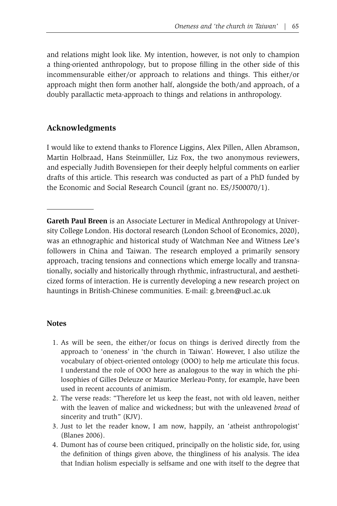and relations might look like. My intention, however, is not only to champion a thing-oriented anthropology, but to propose filling in the other side of this incommensurable either/or approach to relations and things. This either/or approach might then form another half, alongside the both/and approach, of a doubly parallactic meta-approach to things and relations in anthropology.

# **Acknowledgments**

I would like to extend thanks to Florence Liggins, Alex Pillen, Allen Abramson, Martin Holbraad, Hans Steinmüller, Liz Fox, the two anonymous reviewers, and especially Judith Bovensiepen for their deeply helpful comments on earlier drafts of this article. This research was conducted as part of a PhD funded by the Economic and Social Research Council (grant no. ES/J500070/1).

**Gareth Paul Breen** is an Associate Lecturer in Medical Anthropology at University College London. His doctoral research (London School of Economics, 2020), was an ethnographic and historical study of Watchman Nee and Witness Lee's followers in China and Taiwan. The research employed a primarily sensory approach, tracing tensions and connections which emerge locally and transnationally, socially and historically through rhythmic, infrastructural, and aestheticized forms of interaction. He is currently developing a new research project on hauntings in British-Chinese communities. E-mail: g.breen@ucl.ac.uk

# **Notes**

- 1. As will be seen, the either/or focus on things is derived directly from the approach to 'oneness' in 'the church in Taiwan'. However, I also utilize the vocabulary of object-oriented ontology (OOO) to help me articulate this focus. I understand the role of OOO here as analogous to the way in which the philosophies of Gilles Deleuze or Maurice Merleau-Ponty, for example, have been used in recent accounts of animism.
- 2. The verse reads: "Therefore let us keep the feast, not with old leaven, neither with the leaven of malice and wickedness; but with the unleavened *bread* of sincerity and truth" (KJV).
- 3. Just to let the reader know, I am now, happily, an 'atheist anthropologist' (Blanes 2006).
- 4. Dumont has of course been critiqued, principally on the holistic side, for, using the definition of things given above, the thingliness of his analysis. The idea that Indian holism especially is selfsame and one with itself to the degree that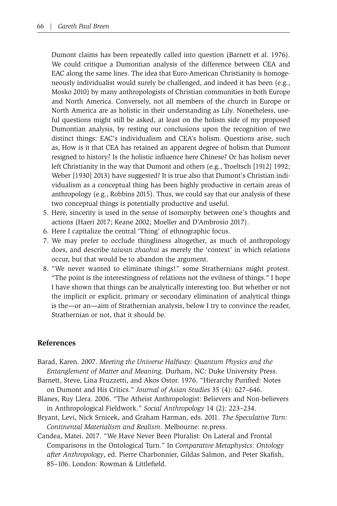Dumont claims has been repeatedly called into question (Barnett et al. 1976). We could critique a Dumontian analysis of the difference between CEA and EAC along the same lines. The idea that Euro-American Christianity is homogeneously individualist would surely be challenged, and indeed it has been (e.g., Mosko 2010) by many anthropologists of Christian communities in both Europe and North America. Conversely, not all members of the church in Europe or North America are as holistic in their understanding as Lily. Nonetheless, useful questions might still be asked, at least on the holism side of my proposed Dumontian analysis, by resting our conclusions upon the recognition of two distinct things: EAC's individualism and CEA's holism. Questions arise, such as, How is it that CEA has retained an apparent degree of holism that Dumont resigned to history? Is the holistic influence here Chinese? Or has holism never left Christianity in the way that Dumont and others (e.g., Troeltsch [1912] 1992; Weber [1930] 2013) have suggested? It is true also that Dumont's Christian individualism as a conceptual thing has been highly productive in certain areas of anthropology (e.g., Robbins 2015). Thus, we could say that our analysis of these two conceptual things is potentially productive and useful.

- 5. Here, sincerity is used in the sense of isomorphy between one's thoughts and actions (Haeri 2017; Keane 2002; Moeller and D'Ambrosio 2017).
- 6. Here I capitalize the central 'Thing' of ethnographic focus.
- 7. We may prefer to occlude thingliness altogether, as much of anthropology does, and describe *taiwan zhaohui* as merely the 'context' in which relations occur, but that would be to abandon the argument.
- 8. "We never wanted to eliminate things!" some Strathernians might protest. "The point is the interestingness of relations not the evilness of things." I hope I have shown that things can be analytically interesting too. But whether or not the implicit or explicit, primary or secondary elimination of analytical things is the—or an—aim of Strathernian analysis, below I try to convince the reader, Strathernian or not, that it should be.

#### **References**

- Barad, Karen. 2007. *Meeting the Universe Halfway: Quantum Physics and the Entanglement of Matter and Meaning*. Durham, NC: Duke University Press.
- Barnett, Steve, Lina Fruzzetti, and Akos Ostor. 1976. "Hierarchy Purified: Notes on Dumont and His Critics." *Journal of Asian Studies* 35 (4): 627–646.
- Blanes, Ruy Llera. 2006. "The Atheist Anthropologist: Believers and Non-believers in Anthropological Fieldwork." *Social Anthropology* 14 (2): 223–234.
- Bryant, Levi, Nick Srnicek, and Graham Harman, eds. 2011. *The Speculative Turn: Continental Materialism and Realism*. Melbourne: re.press.
- Candea, Matei. 2017. "We Have Never Been Pluralist: On Lateral and Frontal Comparisons in the Ontological Turn." In *Comparative Metaphysics: Ontology after Anthropology*, ed. Pierre Charbonnier, Gildas Salmon, and Peter Skafish, 85–106. London: Rowman & Littlefield.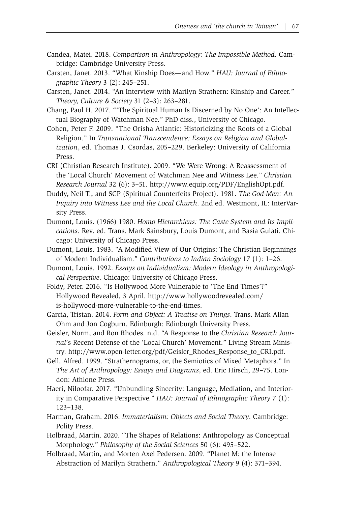- Candea, Matei. 2018. *Comparison in Anthropology: The Impossible Method.* Cambridge: Cambridge University Press.
- Carsten, Janet. 2013. "What Kinship Does—and How." *HAU: Journal of Ethnographic Theory* 3 (2): 245–251.
- Carsten, Janet. 2014. "An Interview with Marilyn Strathern: Kinship and Career." *Theory, Culture & Society* 31 (2–3): 263–281.
- Chang, Paul H. 2017. "'The Spiritual Human Is Discerned by No One': An Intellectual Biography of Watchman Nee." PhD diss., University of Chicago.
- Cohen, Peter F. 2009. "The Orisha Atlantic: Historicizing the Roots of a Global Religion." In *Transnational Transcendence: Essays on Religion and Globalization*, ed. Thomas J. Csordas, 205–229. Berkeley: University of California Press.
- CRI (Christian Research Institute). 2009. "We Were Wrong: A Reassessment of the 'Local Church' Movement of Watchman Nee and Witness Lee." *Christian Research Journal* 32 (6): 3–51. http://www.equip.org/PDF/EnglishOpt.pdf.
- Duddy, Neil T., and SCP (Spiritual Counterfeits Project). 1981. *The God-Men: An Inquiry into Witness Lee and the Local Church*. 2nd ed. Westmont, IL: InterVarsity Press.
- Dumont, Louis. (1966) 1980. *Homo Hierarchicus: The Caste System and Its Implications*. Rev. ed. Trans. Mark Sainsbury, Louis Dumont, and Basia Gulati. Chicago: University of Chicago Press.
- Dumont, Louis. 1983. "A Modified View of Our Origins: The Christian Beginnings of Modern Individualism." *Contributions to Indian Sociology* 17 (1): 1–26.
- Dumont, Louis. 1992. *Essays on Individualism: Modern Ideology in Anthropological Perspective*. Chicago: University of Chicago Press.
- Foldy, Peter. 2016. "Is Hollywood More Vulnerable to 'The End Times'?" Hollywood Revealed, 3 April. http://www.hollywoodrevealed.com/ is-hollywood-more-vulnerable-to-the-end-times.
- Garcia, Tristan. 2014. *Form and Object: A Treatise on Things*. Trans. Mark Allan Ohm and Jon Cogburn. Edinburgh: Edinburgh University Press.
- Geisler, Norm, and Ron Rhodes. n.d. "A Response to the *Christian Research Journal*'s Recent Defense of the 'Local Church' Movement." Living Stream Ministry. http://www.open-letter.org/pdf/Geisler\_Rhodes\_Response\_to\_CRI.pdf.
- Gell, Alfred. 1999. "Strathernograms, or, the Semiotics of Mixed Metaphors." In *The Art of Anthropology: Essays and Diagrams*, ed. Eric Hirsch, 29–75. London: Athlone Press.
- Haeri, Niloofar. 2017. "Unbundling Sincerity: Language, Mediation, and Interiority in Comparative Perspective." *HAU: Journal of Ethnographic Theory* 7 (1): 123–138.
- Harman, Graham. 2016. *Immaterialism: Objects and Social Theory*. Cambridge: Polity Press.
- Holbraad, Martin. 2020. "The Shapes of Relations: Anthropology as Conceptual Morphology." *Philosophy of the Social Sciences* 50 (6): 495–522.
- Holbraad, Martin, and Morten Axel Pedersen. 2009. "Planet M: the Intense Abstraction of Marilyn Strathern." *Anthropological Theory* 9 (4): 371–394.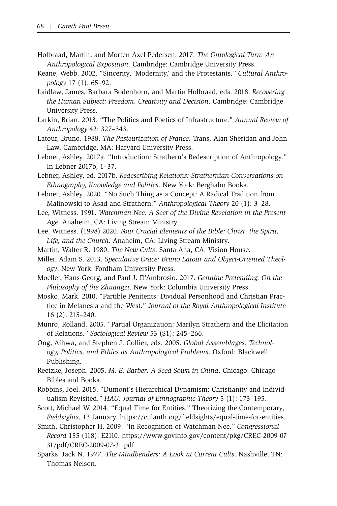- Holbraad, Martin, and Morten Axel Pedersen. 2017. *The Ontological Turn: An Anthropological Exposition.* Cambridge: Cambridge University Press.
- Keane, Webb. 2002. "Sincerity, 'Modernity,' and the Protestants." *Cultural Anthropology* 17 (1): 65–92.
- Laidlaw, James, Barbara Bodenhorn, and Martin Holbraad, eds. 2018. *Recovering the Human Subject: Freedom, Creativity and Decision*. Cambridge: Cambridge University Press.
- Larkin, Brian. 2013. "The Politics and Poetics of Infrastructure." *Annual Review of Anthropology* 42: 327–343.
- Latour, Bruno. 1988. *The Pasteurization of France*. Trans. Alan Sheridan and John Law. Cambridge, MA: Harvard University Press.
- Lebner, Ashley. 2017a. "Introduction: Strathern's Redescription of Anthropology." In Lebner 2017b, 1–37.
- Lebner, Ashley, ed. 2017b. *Redescribing Relations: Strathernian Conversations on Ethnography, Knowledge and Politics*. New York: Berghahn Books.
- Lebner, Ashley. 2020. "No Such Thing as a Concept: A Radical Tradition from Malinowski to Asad and Strathern." *Anthropological Theory* 20 (1): 3–28.
- Lee, Witness. 1991. *Watchman Nee: A Seer of the Divine Revelation in the Present Age*. Anaheim, CA: Living Stream Ministry.
- Lee, Witness. (1998) 2020. *Four Crucial Elements of the Bible: Christ, the Spirit, Life, and the Church*. Anaheim, CA: Living Stream Ministry.
- Martin, Walter R. 1980. *The New Cults*. Santa Ana, CA: Vision House.
- Miller, Adam S. 2013. *Speculative Grace: Bruno Latour and Object-Oriented Theology*. New York: Fordham University Press.
- Moeller, Hans-Georg, and Paul J. D'Ambrosio. 2017. *Genuine Pretending: On the Philosophy of the Zhuangzi*. New York: Columbia University Press.
- Mosko, Mark. 2010. "Partible Penitents: Dividual Personhood and Christian Practice in Melanesia and the West." *Journal of the Royal Anthropological Institute* 16 (2): 215–240.
- Munro, Rolland. 2005. "Partial Organization: Marilyn Strathern and the Elicitation of Relations." *Sociological Review* 53 (S1): 245–266.
- Ong, Aihwa, and Stephen J. Collier, eds. 2005. *Global Assemblages: Technology, Politics, and Ethics as Anthropological Problems*. Oxford: Blackwell Publishing.
- Reetzke, Joseph. 2005. *M. E. Barber: A Seed Sown in China*. Chicago: Chicago Bibles and Books.
- Robbins, Joel. 2015. "Dumont's Hierarchical Dynamism: Christianity and Individualism Revisited." *HAU: Journal of Ethnographic Theory* 5 (1): 173–195.
- Scott, Michael W. 2014. "Equal Time for Entities." Theorizing the Contemporary, *Fieldsights*, 13 January. https://culanth.org/fieldsights/equal-time-for-entities.
- Smith, Christopher H. 2009. "In Recognition of Watchman Nee." *Congressional Record* 155 (118): E2110. https://www.govinfo.gov/content/pkg/CREC-2009-07- 31/pdf/CREC-2009-07-31.pdf.
- Sparks, Jack N. 1977. *The Mindbenders: A Look at Current Cults*. Nashville, TN: Thomas Nelson.